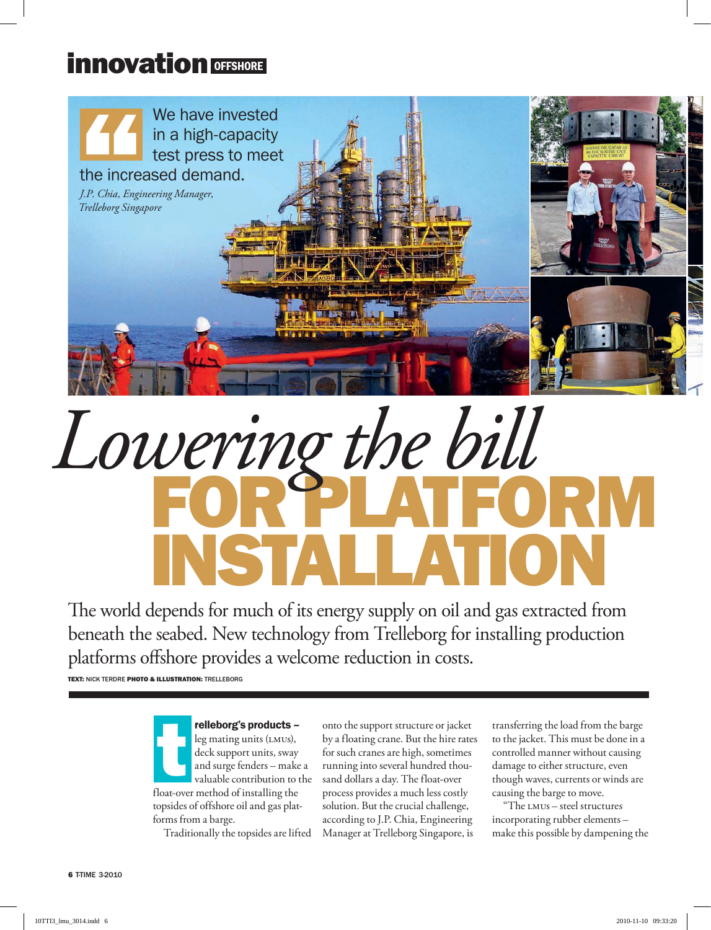## innovation OFFSHORE



## FOR PLATFORM INSTALLATION *Lowering the bill*

The world depends for much of its energy supply on oil and gas extracted from beneath the seabed. New technology from Trelleborg for installing production platforms offshore provides a welcome reduction in costs.

**TEXT: NICK TERDRE PHOTO & ILLUSTRATION: TRELLEBORG** 

relleborg's products – leg mating units (LMUs), deck support units, sway and surge fenders – make a valuable contribution to the **relleborg's products** –<br>leg mating units (LMUs),<br>deck support units, sway<br>and surge fenders – make<br>valuable contribution to t<br>float-over method of installing the topsides of offshore oil and gas platforms from a barge.

Traditionally the topsides are lifted

onto the support structure or jacket by a floating crane. But the hire rates for such cranes are high, sometimes running into several hundred thousand dollars a day. The float-over process provides a much less costly solution. But the crucial challenge, according to J.P. Chia, Engineering Manager at Trelleborg Singapore, is

transferring the load from the barge to the jacket. This must be done in a controlled manner without causing damage to either structure, even though waves, currents or winds are causing the barge to move.

"The lmus – steel structures incorporating rubber elements – make this possible by dampening the